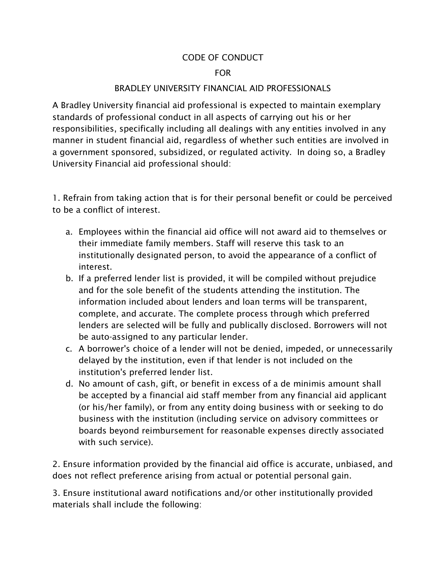## CODE OF CONDUCT

## FOR

## BRADLEY UNIVERSITY FINANCIAL AID PROFESSIONALS

A Bradley University financial aid professional is expected to maintain exemplary standards of professional conduct in all aspects of carrying out his or her responsibilities, specifically including all dealings with any entities involved in any manner in student financial aid, regardless of whether such entities are involved in a government sponsored, subsidized, or regulated activity. In doing so, a Bradley University Financial aid professional should:

1. Refrain from taking action that is for their personal benefit or could be perceived to be a conflict of interest.

- a. Employees within the financial aid office will not award aid to themselves or their immediate family members. Staff will reserve this task to an institutionally designated person, to avoid the appearance of a conflict of interest.
- b. If a preferred lender list is provided, it will be compiled without prejudice and for the sole benefit of the students attending the institution. The information included about lenders and loan terms will be transparent, complete, and accurate. The complete process through which preferred lenders are selected will be fully and publically disclosed. Borrowers will not be auto-assigned to any particular lender.
- c. A borrower's choice of a lender will not be denied, impeded, or unnecessarily delayed by the institution, even if that lender is not included on the institution's preferred lender list.
- d. No amount of cash, gift, or benefit in excess of a de minimis amount shall be accepted by a financial aid staff member from any financial aid applicant (or his/her family), or from any entity doing business with or seeking to do business with the institution (including service on advisory committees or boards beyond reimbursement for reasonable expenses directly associated with such service).

2. Ensure information provided by the financial aid office is accurate, unbiased, and does not reflect preference arising from actual or potential personal gain.

3. Ensure institutional award notifications and/or other institutionally provided materials shall include the following: